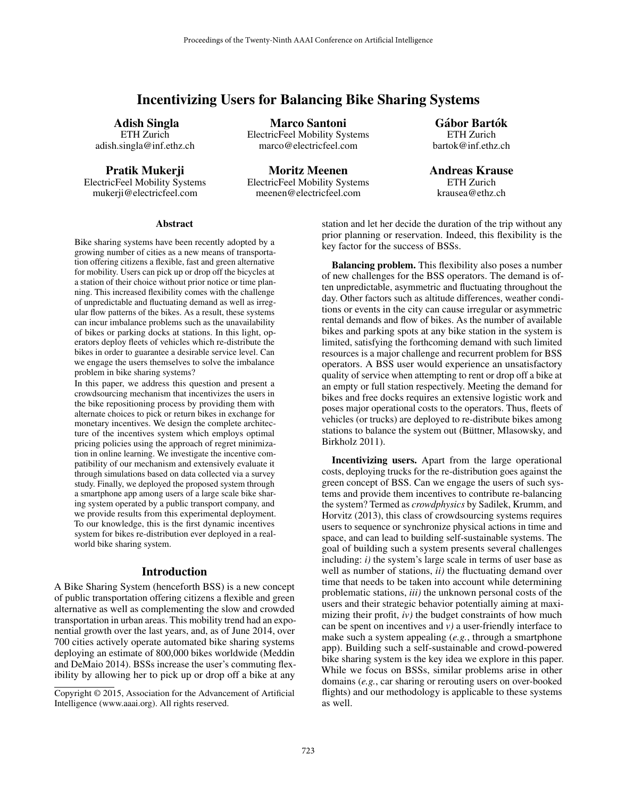# Incentivizing Users for Balancing Bike Sharing Systems

Adish Singla ETH Zurich adish.singla@inf.ethz.ch

Pratik Mukerji

ElectricFeel Mobility Systems mukerji@electricfeel.com

ElectricFeel Mobility Systems marco@electricfeel.com

Moritz Meenen ElectricFeel Mobility Systems meenen@electricfeel.com

Marco Santoni

Gábor Bartók ETH Zurich bartok@inf.ethz.ch

Andreas Krause ETH Zurich krausea@ethz.ch

#### **Abstract**

Bike sharing systems have been recently adopted by a growing number of cities as a new means of transportation offering citizens a flexible, fast and green alternative for mobility. Users can pick up or drop off the bicycles at a station of their choice without prior notice or time planning. This increased flexibility comes with the challenge of unpredictable and fluctuating demand as well as irregular flow patterns of the bikes. As a result, these systems can incur imbalance problems such as the unavailability of bikes or parking docks at stations. In this light, operators deploy fleets of vehicles which re-distribute the bikes in order to guarantee a desirable service level. Can we engage the users themselves to solve the imbalance problem in bike sharing systems?

In this paper, we address this question and present a crowdsourcing mechanism that incentivizes the users in the bike repositioning process by providing them with alternate choices to pick or return bikes in exchange for monetary incentives. We design the complete architecture of the incentives system which employs optimal pricing policies using the approach of regret minimization in online learning. We investigate the incentive compatibility of our mechanism and extensively evaluate it through simulations based on data collected via a survey study. Finally, we deployed the proposed system through a smartphone app among users of a large scale bike sharing system operated by a public transport company, and we provide results from this experimental deployment. To our knowledge, this is the first dynamic incentives system for bikes re-distribution ever deployed in a realworld bike sharing system.

#### Introduction

A Bike Sharing System (henceforth BSS) is a new concept of public transportation offering citizens a flexible and green alternative as well as complementing the slow and crowded transportation in urban areas. This mobility trend had an exponential growth over the last years, and, as of June 2014, over 700 cities actively operate automated bike sharing systems deploying an estimate of 800,000 bikes worldwide (Meddin and DeMaio 2014). BSSs increase the user's commuting flexibility by allowing her to pick up or drop off a bike at any station and let her decide the duration of the trip without any prior planning or reservation. Indeed, this flexibility is the key factor for the success of BSSs.

Balancing problem. This flexibility also poses a number of new challenges for the BSS operators. The demand is often unpredictable, asymmetric and fluctuating throughout the day. Other factors such as altitude differences, weather conditions or events in the city can cause irregular or asymmetric rental demands and flow of bikes. As the number of available bikes and parking spots at any bike station in the system is limited, satisfying the forthcoming demand with such limited resources is a major challenge and recurrent problem for BSS operators. A BSS user would experience an unsatisfactory quality of service when attempting to rent or drop off a bike at an empty or full station respectively. Meeting the demand for bikes and free docks requires an extensive logistic work and poses major operational costs to the operators. Thus, fleets of vehicles (or trucks) are deployed to re-distribute bikes among stations to balance the system out (Büttner, Mlasowsky, and Birkholz 2011).

Incentivizing users. Apart from the large operational costs, deploying trucks for the re-distribution goes against the green concept of BSS. Can we engage the users of such systems and provide them incentives to contribute re-balancing the system? Termed as *crowdphysics* by Sadilek, Krumm, and Horvitz (2013), this class of crowdsourcing systems requires users to sequence or synchronize physical actions in time and space, and can lead to building self-sustainable systems. The goal of building such a system presents several challenges including: *i)* the system's large scale in terms of user base as well as number of stations, *ii)* the fluctuating demand over time that needs to be taken into account while determining problematic stations, *iii)* the unknown personal costs of the users and their strategic behavior potentially aiming at maximizing their profit, *iv)* the budget constraints of how much can be spent on incentives and *v)* a user-friendly interface to make such a system appealing (*e.g.*, through a smartphone app). Building such a self-sustainable and crowd-powered bike sharing system is the key idea we explore in this paper. While we focus on BSSs, similar problems arise in other domains (*e.g.*, car sharing or rerouting users on over-booked flights) and our methodology is applicable to these systems as well.

Copyright © 2015, Association for the Advancement of Artificial Intelligence (www.aaai.org). All rights reserved.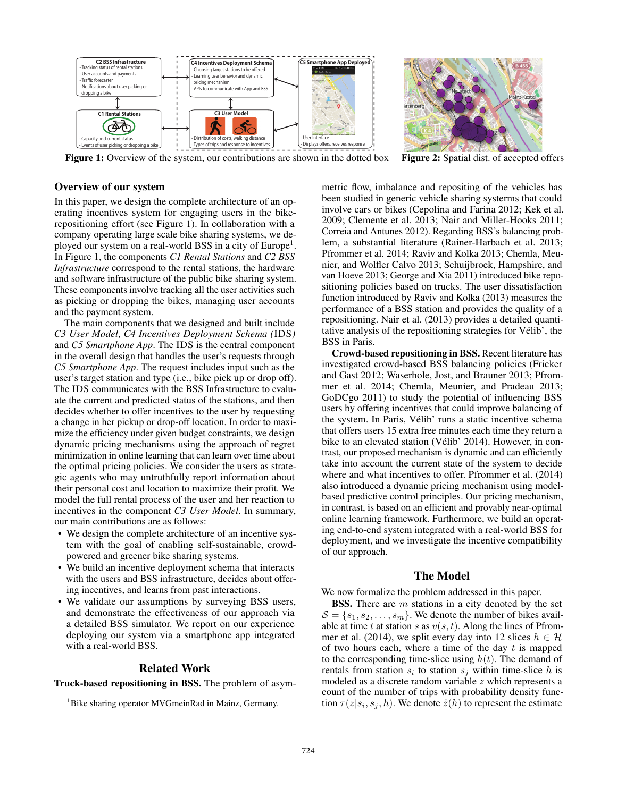

Figure 1: Overview of the system, our contributions are shown in the dotted box Figure 2: Spatial dist. of accepted offers

### Overview of our system

In this paper, we design the complete architecture of an operating incentives system for engaging users in the bikerepositioning effort (see Figure 1). In collaboration with a company operating large scale bike sharing systems, we deployed our system on a real-world BSS in a city of Europe<sup>1</sup>. In Figure 1, the components *C1 Rental Stations* and *C2 BSS Infrastructure* correspond to the rental stations, the hardware and software infrastructure of the public bike sharing system. These components involve tracking all the user activities such as picking or dropping the bikes, managing user accounts and the payment system.

The main components that we designed and built include *C3 User Model*, *C4 Incentives Deployment Schema (*IDS*)* and *C5 Smartphone App*. The IDS is the central component in the overall design that handles the user's requests through *C5 Smartphone App*. The request includes input such as the user's target station and type (i.e., bike pick up or drop off). The IDS communicates with the BSS Infrastructure to evaluate the current and predicted status of the stations, and then decides whether to offer incentives to the user by requesting a change in her pickup or drop-off location. In order to maximize the efficiency under given budget constraints, we design dynamic pricing mechanisms using the approach of regret minimization in online learning that can learn over time about the optimal pricing policies. We consider the users as strategic agents who may untruthfully report information about their personal cost and location to maximize their profit. We model the full rental process of the user and her reaction to incentives in the component *C3 User Model*. In summary, our main contributions are as follows:

- We design the complete architecture of an incentive system with the goal of enabling self-sustainable, crowdpowered and greener bike sharing systems.
- We build an incentive deployment schema that interacts with the users and BSS infrastructure, decides about offering incentives, and learns from past interactions.
- We validate our assumptions by surveying BSS users, and demonstrate the effectiveness of our approach via a detailed BSS simulator. We report on our experience deploying our system via a smartphone app integrated with a real-world BSS.

### Related Work

Truck-based repositioning in BSS. The problem of asym-

metric flow, imbalance and repositing of the vehicles has been studied in generic vehicle sharing systerms that could involve cars or bikes (Cepolina and Farina 2012; Kek et al. 2009; Clemente et al. 2013; Nair and Miller-Hooks 2011; Correia and Antunes 2012). Regarding BSS's balancing problem, a substantial literature (Rainer-Harbach et al. 2013; Pfrommer et al. 2014; Raviv and Kolka 2013; Chemla, Meunier, and Wolfler Calvo 2013; Schuijbroek, Hampshire, and van Hoeve 2013; George and Xia 2011) introduced bike repositioning policies based on trucks. The user dissatisfaction function introduced by Raviv and Kolka (2013) measures the performance of a BSS station and provides the quality of a repositioning. Nair et al. (2013) provides a detailed quantitative analysis of the repositioning strategies for Velib', the ´ BSS in Paris.

Crowd-based repositioning in BSS. Recent literature has investigated crowd-based BSS balancing policies (Fricker and Gast 2012; Waserhole, Jost, and Brauner 2013; Pfrommer et al. 2014; Chemla, Meunier, and Pradeau 2013; GoDCgo 2011) to study the potential of influencing BSS users by offering incentives that could improve balancing of the system. In Paris, Vélib' runs a static incentive schema that offers users 15 extra free minutes each time they return a bike to an elevated station (Vélib' 2014). However, in contrast, our proposed mechanism is dynamic and can efficiently take into account the current state of the system to decide where and what incentives to offer. Pfrommer et al. (2014) also introduced a dynamic pricing mechanism using modelbased predictive control principles. Our pricing mechanism, in contrast, is based on an efficient and provably near-optimal online learning framework. Furthermore, we build an operating end-to-end system integrated with a real-world BSS for deployment, and we investigate the incentive compatibility of our approach.

## The Model

We now formalize the problem addressed in this paper.

**BSS.** There are  $m$  stations in a city denoted by the set  $S = \{s_1, s_2, \ldots, s_m\}$ . We denote the number of bikes available at time t at station s as  $v(s, t)$ . Along the lines of Pfrommer et al. (2014), we split every day into 12 slices  $h \in \mathcal{H}$ of two hours each, where a time of the day  $t$  is mapped to the corresponding time-slice using  $h(t)$ . The demand of rentals from station  $s_i$  to station  $s_j$  within time-slice h is modeled as a discrete random variable  $z$  which represents a count of the number of trips with probability density function  $\tau(z|s_i, s_j, h)$ . We denote  $\hat{z}(h)$  to represent the estimate

<sup>&</sup>lt;sup>1</sup>Bike sharing operator MVGmeinRad in Mainz, Germany.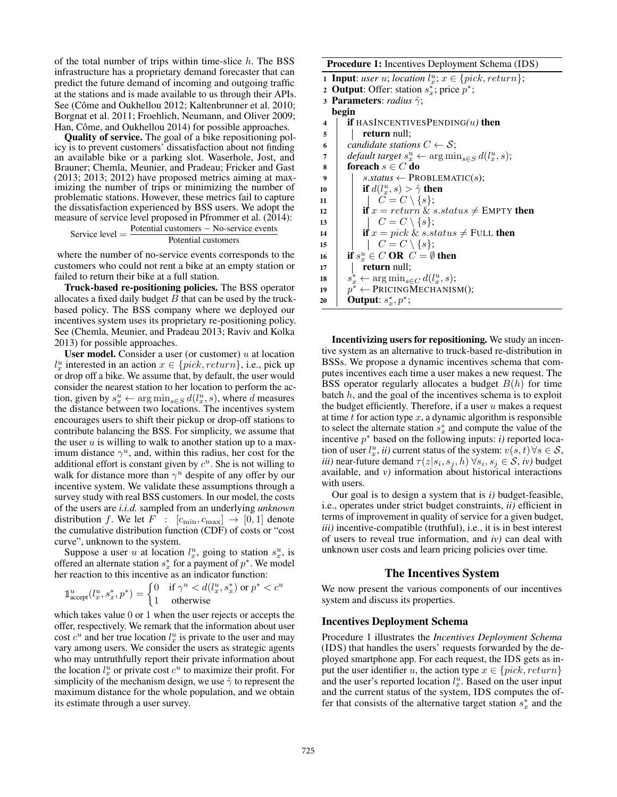of the total number of trips within time-slice  $h$ . The BSS infrastructure has a proprietary demand forecaster that can predict the future demand of incoming and outgoing traffic at the stations and is made available to us through their APIs. See (Côme and Oukhellou 2012; Kaltenbrunner et al. 2010; Borgnat et al. 2011; Froehlich, Neumann, and Oliver 2009; Han, Côme, and Oukhellou 2014) for possible approaches.

Quality of service. The goal of a bike repositioning policy is to prevent customers' dissatisfaction about not finding an available bike or a parking slot. Waserhole, Jost, and Brauner; Chemla, Meunier, and Pradeau; Fricker and Gast (2013; 2013; 2012) have proposed metrics aiming at maximizing the number of trips or minimizing the number of problematic stations. However, these metrics fail to capture the dissatisfaction experienced by BSS users. We adopt the measure of service level proposed in Pfrommer et al. (2014): Service level  $=$  Potential customers – No-service events

Potential customers

where the number of no-service events corresponds to the customers who could not rent a bike at an empty station or failed to return their bike at a full station.

Truck-based re-positioning policies. The BSS operator allocates a fixed daily budget  $B$  that can be used by the truckbased policy. The BSS company where we deployed our incentives system uses its proprietary re-positioning policy. See (Chemla, Meunier, and Pradeau 2013; Raviv and Kolka 2013) for possible approaches.

User model. Consider a user (or customer)  $u$  at location  $l_x^u$  interested in an action  $x \in \{pick, return\}$ , i.e., pick up or drop off a bike. We assume that, by default, the user would consider the nearest station to her location to perform the action, given by  $s_x^u \leftarrow \arg \min_{s \in S} d(l_x^u, s)$ , where d measures the distance between two locations. The incentives system the distance between two locations. The incentives system encourages users to shift their pickup or drop-off stations to contribute balancing the BSS. For simplicity, we assume that the user  $u$  is willing to walk to another station up to a maximum distance  $\gamma^u$ , and, within this radius, her cost for the additional effort is constant given by  $c<sup>u</sup>$ . She is not willing to walk for distance more than  $\gamma^u$  despite of any offer by our incentive system. We validate these assumptions through a survey study with real BSS customers. In our model, the costs of the users are *i.i.d.* sampled from an underlying *unknown* distribution f. We let  $F : [c_{\min}, c_{\max}] \rightarrow [0, 1]$  denote the cumulative distribution function (CDF) of costs or "cost curve", unknown to the system.

Suppose a user u at location  $l_x^u$ , going to station  $s_x^u$ , is offered an alternate station  $s_x^*$  for a payment of  $p^*$ . We model her reaction to this incentive as an indicator function:

$$
\mathbb{1}_{\text{accept}}^u(l_x^u, s_x^*, p^*) = \begin{cases} 0 & \text{if } \gamma^u < d(l_x^u, s_x^*) \text{ or } p^* < c^u \\ 1 & \text{otherwise} \end{cases}
$$

which takes value 0 or 1 when the user rejects or accepts the offer respectively. We remark that the information about user offer, respectively. We remark that the information about user cost  $c^u$  and her true location  $l_x^u$  is private to the user and may vary among users. We consider the users as strategic agents who may untruthfully report their private information about the location  $l_x^u$  or private cost  $c^u$  to maximize their profit. For simplicity of the mechanism design, we use  $\hat{\gamma}$  to represent the maximum distance for the whole population, and we obtain its estimate through a user survey.

Procedure 1: Incentives Deployment Schema (IDS)

| <b>1 Toccuure 1.</b> Incentives Deproyment Schema (1DS) |                                                                           |
|---------------------------------------------------------|---------------------------------------------------------------------------|
|                                                         | <b>1 Input:</b> user u; location $l_x^u$ ; $x \in \{pick, return\}$ ;     |
|                                                         | 2 <b>Output</b> : Offer: station $s_x^*$ ; price $p^*$ ;                  |
|                                                         | 3 <b>Parameters</b> : <i>radius</i> $\hat{\gamma}$ ;                      |
|                                                         | begin                                                                     |
| 4                                                       | <b>if</b> HASINCENTIVESPENDING( <i>u</i> ) then                           |
| 5                                                       | return null;                                                              |
| 6                                                       | candidate stations $C \leftarrow S$ ;                                     |
| 7                                                       | <i>default target</i> $s_x^u \leftarrow \arg \min_{s \in S} d(l_x^u, s);$ |
| 8                                                       | foreach $s \in C$ do                                                      |
| 9                                                       | $s$ . <i>status</i> $\leftarrow$ PROBLEMATIC(s);                          |
| 10                                                      | <b>if</b> $d(l_x^u, s) > \hat{\gamma}$ then                               |
| 11                                                      | $\left  C = C \setminus \{s\};\right.$                                    |
| 12                                                      | if $x = return \& s. status \neq \text{EMPTY}$ then                       |
| 13                                                      | $\mid C = C \setminus \{s\};$                                             |
| 14                                                      | if $x = pick \& s. status \neq FULL$ then                                 |
| 15                                                      | $\left  C = C \setminus \{s\};\right.$                                    |
| 16                                                      | if $s_x^u \in C$ OR $C = \emptyset$ then                                  |
| 17                                                      | return null;                                                              |
| 18                                                      | $s_x^* \leftarrow \arg\min_{s \in C} d(l_x^u, s);$                        |
| 19                                                      | $p^* \leftarrow$ PRICINGMECHANISM();                                      |
| 20                                                      | <b>Output:</b> $s_x^*, p^*$ ;                                             |
|                                                         |                                                                           |

Incentivizing users for repositioning. We study an incentive system as an alternative to truck-based re-distribution in BSSs. We propose a dynamic incentives schema that computes incentives each time a user makes a new request. The BSS operator regularly allocates a budget  $B(h)$  for time batch  $h$ , and the goal of the incentives schema is to exploit the budget efficiently. Therefore, if a user  $u$  makes a request at time  $t$  for action type  $x$ , a dynamic algorithm is responsible to select the alternate station  $s_x^*$  and compute the value of the incentive p<sup>∗</sup> based on the following inputs: *i)* reported location of user  $l_x^u$ , *ii*) current status of the system:  $v(s, t) \forall s \in S$ , *iii*) near-future demand  $\tau(z|s, s, h) \forall s, s \in S$ , *iv*) budget *iii*) near-future demand  $\tau(z|s_i, s_j, h)$   $\forall s_i, s_j \in S$ , *iv*) budget available, and *v)* information about historical interactions with users.

Our goal is to design a system that is *i)* budget-feasible, i.e., operates under strict budget constraints, *ii)* efficient in terms of improvement in quality of service for a given budget, *iii)* incentive-compatible (truthful), i.e., it is in best interest of users to reveal true information, and *iv)* can deal with unknown user costs and learn pricing policies over time.

### The Incentives System

We now present the various components of our incentives system and discuss its properties.

#### Incentives Deployment Schema

Procedure 1 illustrates the *Incentives Deployment Schema* (IDS) that handles the users' requests forwarded by the deployed smartphone app. For each request, the IDS gets as input the user identifier u, the action type  $x \in \{pick, return\}$ and the user's reported location  $l_x^u$ . Based on the user input and the current status of the system, IDS computes the offer that consists of the alternative target station  $s_x^*$  and the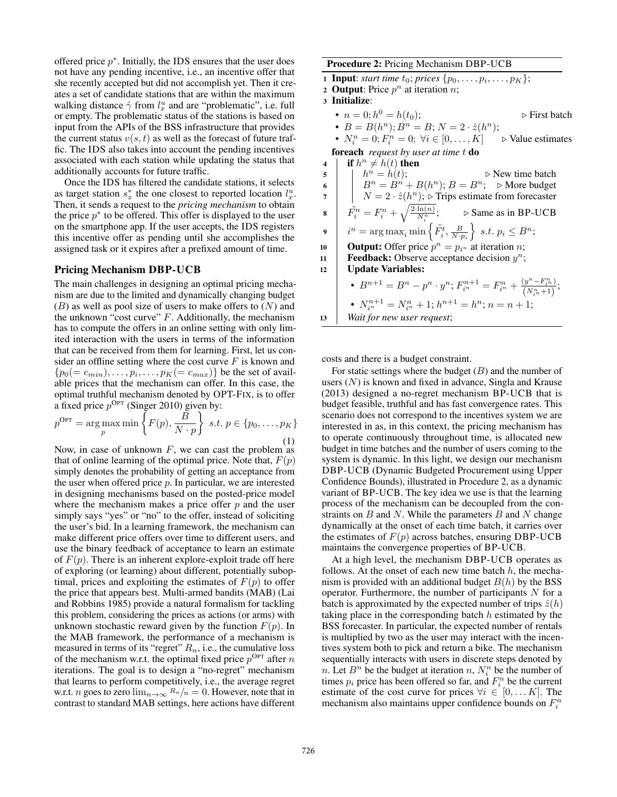offered price  $p^*$ . Initially, the IDS ensures that the user does not have any pending incentive, i.e., an incentive offer that she recently accepted but did not accomplish yet. Then it creates a set of candidate stations that are within the maximum walking distance  $\hat{\gamma}$  from  $l_x^u$  and are "problematic", i.e. full or empty. The problematic status of the stations is based on or empty. The problematic status of the stations is based on input from the APIs of the BSS infrastructure that provides the current status  $v(s, t)$  as well as the forecast of future traffic. The IDS also takes into account the pending incentives associated with each station while updating the status that additionally accounts for future traffic.

Once the IDS has filtered the candidate stations, it selects as target station  $s_x^*$  the one closest to reported location  $l_x^u$ . Then, it sends a request to the *pricing mechanism* to obtain the price  $p^*$  to be offered. This offer is displayed to the user on the smartphone app. If the user accepts, the IDS registers this incentive offer as pending until she accomplishes the assigned task or it expires after a prefixed amount of time.

#### Pricing Mechanism DBP-UCB

The main challenges in designing an optimal pricing mechanism are due to the limited and dynamically changing budget  $(B)$  as well as pool size of users to make offers to  $(N)$  and the unknown "cost curve"  $F$ . Additionally, the mechanism has to compute the offers in an online setting with only limited interaction with the users in terms of the information that can be received from them for learning. First, let us consider an offline setting where the cost curve  $F$  is known and  $\{p_0(= c_{min}), \ldots, p_i, \ldots, p_K(= c_{max})\}$  be the set of available prices that the mechanism can offer. In this case, the optimal truthful mechanism denoted by OPT-FIX, is to offer a fixed price  $p^{\text{Opt}}$  (Singer 2010) given by:

$$
p^{\text{OPT}} = \underset{p}{\arg\max} \min \left\{ F(p), \frac{\widetilde{B}}{N \cdot p} \right\} \ s.t. \ p \in \{p_0, \dots, p_K\} \tag{1}
$$

Now, in case of unknown  $F$ , we can cast the problem as that of online learning of the optimal price. Note that,  $F(p)$ simply denotes the probability of getting an acceptance from the user when offered price  $p$ . In particular, we are interested in designing mechanisms based on the posted-price model where the mechanism makes a price offer  $p$  and the user simply says "yes" or "no" to the offer, instead of soliciting the user's bid. In a learning framework, the mechanism can make different price offers over time to different users, and use the binary feedback of acceptance to learn an estimate of  $F(p)$ . There is an inherent explore-exploit trade off here of exploring (or learning) about different, potentially suboptimal, prices and exploiting the estimates of  $F(p)$  to offer the price that appears best. Multi-armed bandits (MAB) (Lai and Robbins 1985) provide a natural formalism for tackling this problem, considering the prices as actions (or arms) with unknown stochastic reward given by the function  $F(p)$ . In the MAB framework, the performance of a mechanism is measured in terms of its "regret"  $R_n$ , i.e., the cumulative loss of the mechanism w.r.t. the optimal fixed price  $p^{\text{Opt}}$  after n iterations. The goal is to design a "no-regret" mechanism that learns to perform competitively, i.e., the average regret w.r.t. *n* goes to zero  $\lim_{n\to\infty} R_n/n = 0$ . However, note that in contrast to standard MAB settings, here actions have different

Procedure 2: Pricing Mechanism DBP-UCB

1 **Input**: *start time*  $t_0$ ; *prices*  $\{p_0, \ldots, p_i, \ldots, p_K\}$ ;

2 **Output:** Price  $p^n$  at iteration *n*;

<sup>3</sup> Initialize:

•  $n = 0; h^0 = h(t_0);$ <br>
•  $B = B(h^n): B^n = B: N = 2$ .  $\hat{z}(h^n):$ <br>
b First batch •  $B = B(h^n); B^n = B; N = 2 \cdot \hat{z}(h^n);$ <br>•  $N^n = 0$ ;  $F^n = 0; \forall i \in [0, K]$ 

•  $N_i^n = 0; F_i^n = 0; \forall i \in [0, ..., K] \rightarrow$  Value estimates foreach *request by user at time* t do

4 **if**  $h^n \neq h(t)$  then<br>5  $\vert h^n = h(t);$ 5  $\begin{array}{|c|c|c|c|c|}\n\hline\n\text{5} & h^n = h(t); & \text{b New time batch} \\
\hline\n\text{6} & B^n = B^n + B(h^n) & B = B^n. & \text{b More budget}\n\hline\n\end{array}$ 6  $B^n = B^{n'} + B(h^n); B = B^n;$   $\triangleright$  More budget  $N = 2 \cdot \hat{z}(h^n) \cdot \triangleright$  Trins estimate from forecaster  $7 \begin{array}{c|c} \n\end{array}$   $N = 2 \cdot \hat{z}(h^n)$ ;  $\triangleright$  Trips estimate from forecaster  $\mathbf{s}$   $\left| \begin{array}{c} \tilde{F_i^n} = F_i^n + \\ 0 & \end{array} \right|$  $\sqrt{\frac{2 \cdot \ln(n)}{N_i^n}}$ ;  $\triangleright$  Same as in BP-UCB 9  $i^n = \arg \max_i \min \left\{ \tilde{F}_i^t, \frac{B}{N \cdot p_i} \right\}$  $\Big\} s.t. p_i \leq B^n;$ 10 **Output:** Offer price  $p^n = p_{i^n}$  at iteration *n*;<br> **11 Feedback:** Observe acceptance decision  $y^n$ : **Feedback:** Observe acceptance decision  $y^n$ ; 12 Update Variables: •  $B^{n+1} = B^n - p^n \cdot y^n; F_{i^n}^{n+1} = F_{i^n}^n + \frac{(y^n - F_{i^n}^n)}{(N_{i^n}^n + 1)}$  $\frac{(y-F_{i^n})}{(N_{i^n}^n+1)}$ ; •  $N_{i^n}^{n+1} = N_{i^n}^n + 1; h^{n+1} = h^n; n = n+1;$ <br>Vait for now user request: <sup>13</sup> *Wait for new user request*;

costs and there is a budget constraint.

For static settings where the budget  $(B)$  and the number of users  $(N)$  is known and fixed in advance, Singla and Krause (2013) designed a no-regret mechanism BP-UCB that is budget feasible, truthful and has fast convergence rates. This scenario does not correspond to the incentives system we are interested in as, in this context, the pricing mechanism has to operate continuously throughout time, is allocated new budget in time batches and the number of users coming to the system is dynamic. In this light, we design our mechanism DBP-UCB (Dynamic Budgeted Procurement using Upper Confidence Bounds), illustrated in Procedure 2, as a dynamic variant of BP-UCB. The key idea we use is that the learning process of the mechanism can be decoupled from the constraints on  $B$  and  $N$ . While the parameters  $B$  and  $N$  change dynamically at the onset of each time batch, it carries over the estimates of  $F(p)$  across batches, ensuring DBP-UCB maintains the convergence properties of BP-UCB.

At a high level, the mechanism DBP-UCB operates as follows. At the onset of each new time batch  $h$ , the mechanism is provided with an additional budget  $B(h)$  by the BSS operator. Furthermore, the number of participants  $N$  for a batch is approximated by the expected number of trips  $\hat{z}(h)$ taking place in the corresponding batch  $h$  estimated by the BSS forecaster. In particular, the expected number of rentals is multiplied by two as the user may interact with the incentives system both to pick and return a bike. The mechanism sequentially interacts with users in discrete steps denoted by *n*. Let  $B^n$  be the budget at iteration *n*,  $N_i^n$  be the number of times  $p_i$  price has been offered so far, and  $F_i^n$  be the current estimate of the cost curve for prices  $\forall i \in [0, \dots K]$ . The mechanism also maintains upper confidence bounds on  $F_i^n$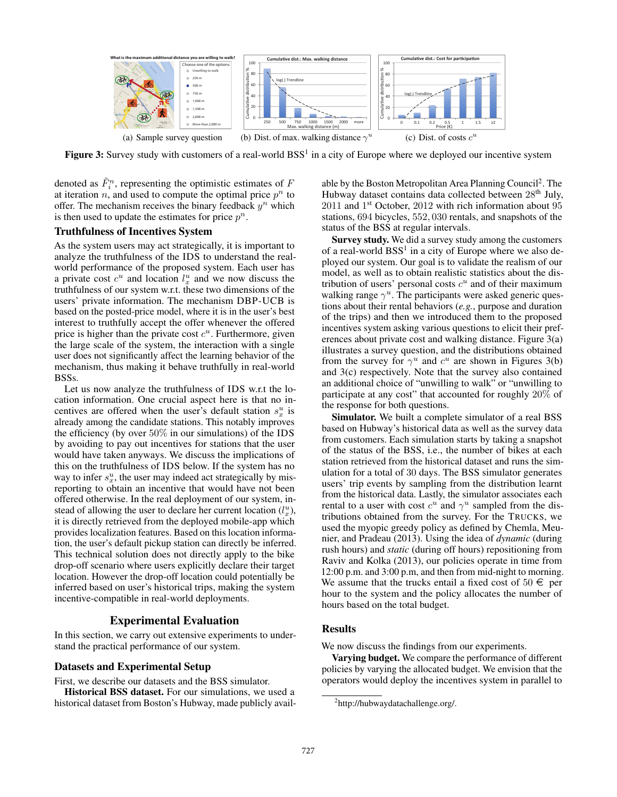

Figure 3: Survey study with customers of a real-world  $BSS<sup>1</sup>$  in a city of Europe where we deployed our incentive system

denoted as  $\tilde{F}_i^n$ , representing the optimistic estimates of F<br>at iteration  $x_i$  and used to compute the optimal price  $x_i^n$  to at iteration n, and used to compute the optimal price  $p^n$  to offer. The mechanism receives the binary feedback  $y^n$  which is then used to update the estimates for price  $p^n$ .

## Truthfulness of Incentives System

As the system users may act strategically, it is important to analyze the truthfulness of the IDS to understand the realworld performance of the proposed system. Each user has a private cost  $c^u$  and location  $l_x^u$  and we now discuss the truthfulness of our system w.r.t. these two dimensions of the users' private information. The mechanism DBP-UCB is based on the posted-price model, where it is in the user's best interest to truthfully accept the offer whenever the offered price is higher than the private cost  $c<sup>u</sup>$ . Furthermore, given the large scale of the system, the interaction with a single user does not significantly affect the learning behavior of the mechanism, thus making it behave truthfully in real-world BSSs.

Let us now analyze the truthfulness of IDS w.r.t the location information. One crucial aspect here is that no incentives are offered when the user's default station  $s_x^u$  is already among the candidate stations. This notably improves the efficiency (by over  $50\%$  in our simulations) of the IDS by avoiding to pay out incentives for stations that the user would have taken anyways. We discuss the implications of this on the truthfulness of IDS below. If the system has no way to infer  $s_x^u$ , the user may indeed act strategically by misreporting to obtain an incentive that would have not been offered otherwise. In the real deployment of our system, instead of allowing the user to declare her current location  $(l_x^u)$ , it is directly retrieved from the deployed mobile-app which provides localization features. Based on this location information, the user's default pickup station can directly be inferred. This technical solution does not directly apply to the bike drop-off scenario where users explicitly declare their target location. However the drop-off location could potentially be inferred based on user's historical trips, making the system incentive-compatible in real-world deployments.

### Experimental Evaluation

In this section, we carry out extensive experiments to understand the practical performance of our system.

### Datasets and Experimental Setup

First, we describe our datasets and the BSS simulator.

Historical BSS dataset. For our simulations, we used a historical dataset from Boston's Hubway, made publicly available by the Boston Metropolitan Area Planning Council<sup>2</sup>. The Hubway dataset contains data collected between  $28<sup>th</sup>$  July,  $2011$  and  $1<sup>st</sup>$  October,  $2012$  with rich information about  $95$ stations, 694 bicycles, 552, 030 rentals, and snapshots of the status of the BSS at regular intervals.

Survey study. We did a survey study among the customers of a real-world  $BSS<sup>1</sup>$  in a city of Europe where we also deployed our system. Our goal is to validate the realism of our model, as well as to obtain realistic statistics about the distribution of users' personal costs  $c<sup>u</sup>$  and of their maximum walking range  $\gamma^u$ . The participants were asked generic questions about their rental behaviors (*e.g.*, purpose and duration of the trips) and then we introduced them to the proposed incentives system asking various questions to elicit their preferences about private cost and walking distance. Figure 3(a) illustrates a survey question, and the distributions obtained from the survey for  $\gamma^u$  and  $c^u$  are shown in Figures 3(b) and 3(c) respectively. Note that the survey also contained an additional choice of "unwilling to walk" or "unwilling to participate at any cost" that accounted for roughly 20% of the response for both questions.

Simulator. We built a complete simulator of a real BSS based on Hubway's historical data as well as the survey data from customers. Each simulation starts by taking a snapshot of the status of the BSS, i.e., the number of bikes at each station retrieved from the historical dataset and runs the simulation for a total of 30 days. The BSS simulator generates users' trip events by sampling from the distribution learnt from the historical data. Lastly, the simulator associates each rental to a user with cost  $c^u$  and  $\gamma^u$  sampled from the distributions obtained from the survey. For the TRUCKS, we used the myopic greedy policy as defined by Chemla, Meunier, and Pradeau (2013). Using the idea of *dynamic* (during rush hours) and *static* (during off hours) repositioning from Raviv and Kolka (2013), our policies operate in time from 12:00 p.m. and 3:00 p.m, and then from mid-night to morning. We assume that the trucks entail a fixed cost of  $50 \in \text{per}$ hour to the system and the policy allocates the number of hours based on the total budget.

#### Results

We now discuss the findings from our experiments.

Varying budget. We compare the performance of different policies by varying the allocated budget. We envision that the operators would deploy the incentives system in parallel to

<sup>&</sup>lt;sup>2</sup>http://hubwaydatachallenge.org/.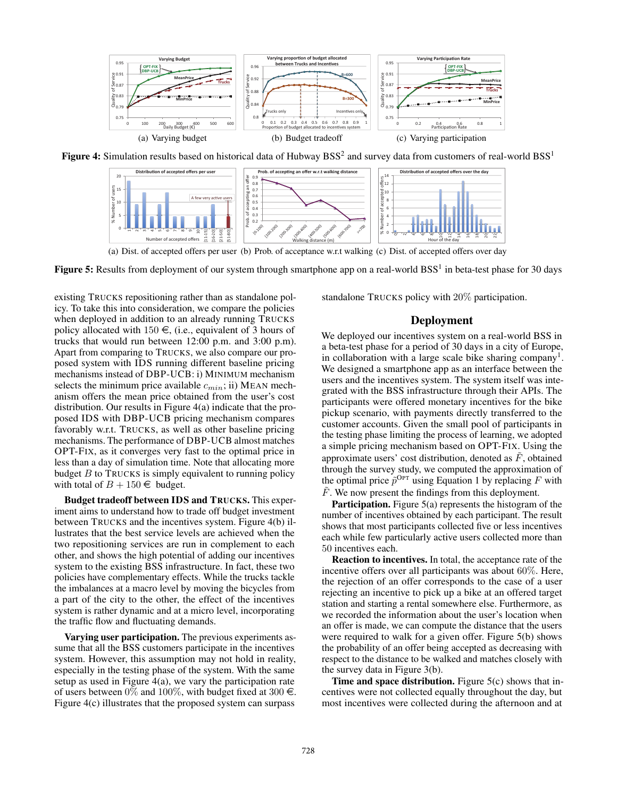

**Figure 4:** Simulation results based on historical data of Hubway  $BSS^2$  and survey data from customers of real-world  $BSS^1$ 



(a) Dist. of accepted offers per user (b) Prob. of acceptance w.r.t walking (c) Dist. of accepted offers over day

**Figure 5:** Results from deployment of our system through smartphone app on a real-world BSS<sup>1</sup> in beta-test phase for 30 days

existing TRUCKS repositioning rather than as standalone policy. To take this into consideration, we compare the policies when deployed in addition to an already running TRUCKS policy allocated with  $150 \in$ , (i.e., equivalent of 3 hours of trucks that would run between 12:00 p.m. and 3:00 p.m). Apart from comparing to TRUCKS, we also compare our proposed system with IDS running different baseline pricing mechanisms instead of DBP-UCB: i) MINIMUM mechanism selects the minimum price available  $c_{min}$ ; ii) MEAN mechanism offers the mean price obtained from the user's cost distribution. Our results in Figure 4(a) indicate that the proposed IDS with DBP-UCB pricing mechanism compares favorably w.r.t. TRUCKS, as well as other baseline pricing mechanisms. The performance of DBP-UCB almost matches OPT-FIX, as it converges very fast to the optimal price in less than a day of simulation time. Note that allocating more budget  $B$  to TRUCKS is simply equivalent to running policy with total of  $B + 150 \in$  budget.

Budget tradeoff between IDS and TRUCKS. This experiment aims to understand how to trade off budget investment between TRUCKS and the incentives system. Figure 4(b) illustrates that the best service levels are achieved when the two repositioning services are run in complement to each other, and shows the high potential of adding our incentives system to the existing BSS infrastructure. In fact, these two policies have complementary effects. While the trucks tackle the imbalances at a macro level by moving the bicycles from a part of the city to the other, the effect of the incentives system is rather dynamic and at a micro level, incorporating the traffic flow and fluctuating demands.

Varying user participation. The previous experiments assume that all the BSS customers participate in the incentives system. However, this assumption may not hold in reality, especially in the testing phase of the system. With the same setup as used in Figure 4(a), we vary the participation rate of users between 0% and 100%, with budget fixed at 300  $\in$ . Figure 4(c) illustrates that the proposed system can surpass standalone TRUCKS policy with 20% participation.

## Deployment

We deployed our incentives system on a real-world BSS in a beta-test phase for a period of 30 days in a city of Europe, in collaboration with a large scale bike sharing company<sup>1</sup>. We designed a smartphone app as an interface between the users and the incentives system. The system itself was integrated with the BSS infrastructure through their APIs. The participants were offered monetary incentives for the bike pickup scenario, with payments directly transferred to the customer accounts. Given the small pool of participants in the testing phase limiting the process of learning, we adopted a simple pricing mechanism based on OPT-FIX. Using the approximate users' cost distribution, denoted as  $\tilde{F}$ , obtained through the survey study, we computed the approximation of the optimal price  $\tilde{p}^{\text{OPT}}$  using Equation 1 by replacing F with  $\tilde{F}$ . We now present the findings from this deployment.

Participation. Figure 5(a) represents the histogram of the number of incentives obtained by each participant. The result shows that most participants collected five or less incentives each while few particularly active users collected more than 50 incentives each.

Reaction to incentives. In total, the acceptance rate of the incentive offers over all participants was about 60%. Here, the rejection of an offer corresponds to the case of a user rejecting an incentive to pick up a bike at an offered target station and starting a rental somewhere else. Furthermore, as we recorded the information about the user's location when an offer is made, we can compute the distance that the users were required to walk for a given offer. Figure 5(b) shows the probability of an offer being accepted as decreasing with respect to the distance to be walked and matches closely with the survey data in Figure 3(b).

Time and space distribution. Figure  $5(c)$  shows that incentives were not collected equally throughout the day, but most incentives were collected during the afternoon and at